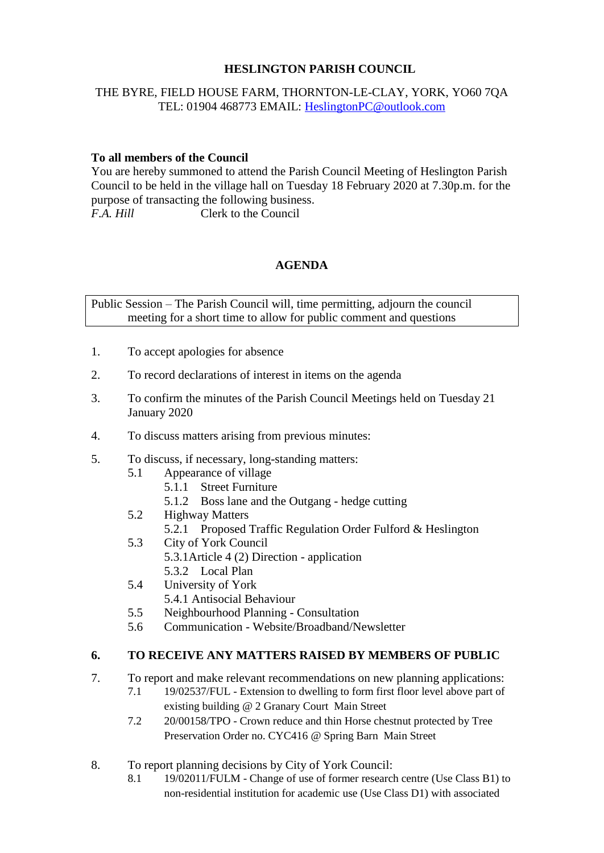## **HESLINGTON PARISH COUNCIL**

#### THE BYRE, FIELD HOUSE FARM, THORNTON-LE-CLAY, YORK, YO60 7QA TEL: 01904 468773 EMAIL: [HeslingtonPC@outlook.com](mailto:HeslingtonPC@outlook.com)

### **To all members of the Council**

You are hereby summoned to attend the Parish Council Meeting of Heslington Parish Council to be held in the village hall on Tuesday 18 February 2020 at 7.30p.m. for the purpose of transacting the following business. *F.A. Hill* Clerk to the Council

#### **AGENDA**

Public Session – The Parish Council will, time permitting, adjourn the council meeting for a short time to allow for public comment and questions

- 1. To accept apologies for absence
- 2. To record declarations of interest in items on the agenda
- 3. To confirm the minutes of the Parish Council Meetings held on Tuesday 21 January 2020
- 4. To discuss matters arising from previous minutes:
- 5. To discuss, if necessary, long-standing matters:
	- 5.1 Appearance of village
		- 5.1.1 Street Furniture
		- 5.1.2 Boss lane and the Outgang hedge cutting
	- 5.2 Highway Matters
		- 5.2.1 Proposed Traffic Regulation Order Fulford & Heslington
	- 5.3 City of York Council
		- 5.3.1Article 4 (2) Direction application
			- 5.3.2 Local Plan
	- 5.4 University of York
		- 5.4.1 Antisocial Behaviour
	- 5.5 Neighbourhood Planning Consultation
	- 5.6 Communication Website/Broadband/Newsletter

## **6. TO RECEIVE ANY MATTERS RAISED BY MEMBERS OF PUBLIC**

- 7. To report and make relevant recommendations on new planning applications:
	- 7.1 19/02537/FUL Extension to dwelling to form first floor level above part of existing building @ 2 Granary Court Main Street
	- 7.2 20/00158/TPO Crown reduce and thin Horse chestnut protected by Tree Preservation Order no. CYC416 @ Spring Barn Main Street
- 8. To report planning decisions by City of York Council:
	- 8.1 19/02011/FULM Change of use of former research centre (Use Class B1) to non-residential institution for academic use (Use Class D1) with associated